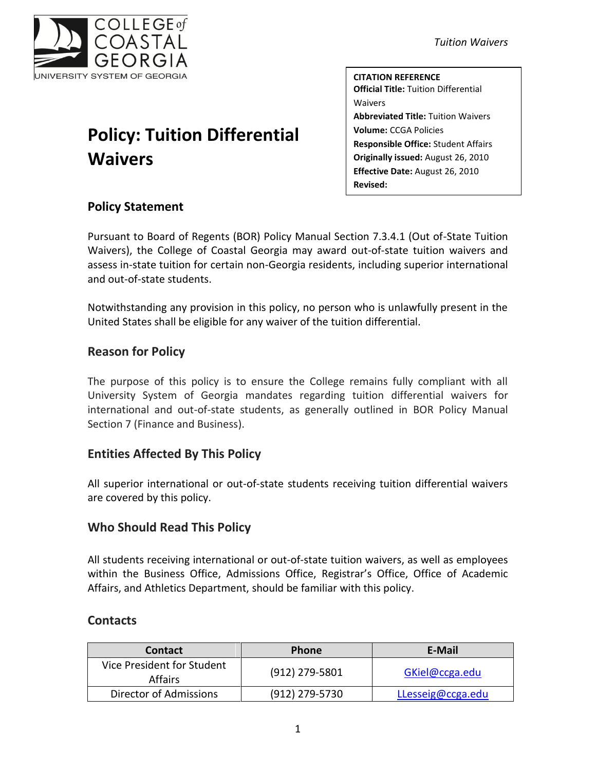

# **Policy: Tuition Differential Waivers**

*Tuition Waivers*

**CITATION REFERENCE Official Title:** Tuition Differential Waivers **Abbreviated Title:** Tuition Waivers **Volume:** CCGA Policies **Responsible Office:** Student Affairs **Originally issued:** August 26, 2010 **Effective Date:** August 26, 2010 **Revised:**

# **Policy Statement**

Pursuant to Board of Regents (BOR) Policy Manual Section 7.3.4.1 (Out of-State Tuition Waivers), the College of Coastal Georgia may award out-of-state tuition waivers and assess in-state tuition for certain non-Georgia residents, including superior international and out-of-state students.

Notwithstanding any provision in this policy, no person who is unlawfully present in the United States shall be eligible for any waiver of the tuition differential.

## **Reason for Policy**

The purpose of this policy is to ensure the College remains fully compliant with all University System of Georgia mandates regarding tuition differential waivers for international and out-of-state students, as generally outlined in BOR Policy Manual Section 7 (Finance and Business).

# **Entities Affected By This Policy**

All superior international or out-of-state students receiving tuition differential waivers are covered by this policy.

## **Who Should Read This Policy**

All students receiving international or out-of-state tuition waivers, as well as employees within the Business Office, Admissions Office, Registrar's Office, Office of Academic Affairs, and Athletics Department, should be familiar with this policy.

## **Contacts**

| <b>Contact</b>                               | <b>Phone</b>   | E-Mail            |
|----------------------------------------------|----------------|-------------------|
| Vice President for Student<br><b>Affairs</b> | (912) 279-5801 | GKiel@ccga.edu    |
| Director of Admissions                       | (912) 279-5730 | LLesseig@ccga.edu |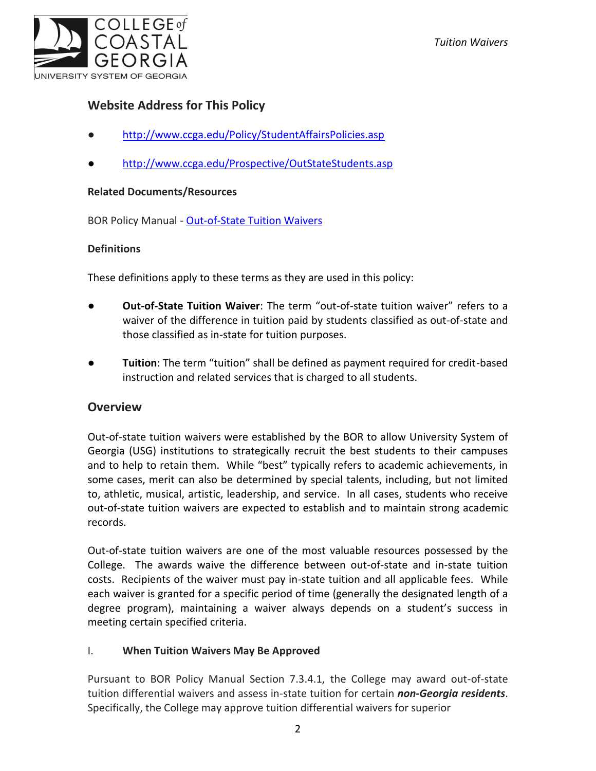# **Website Address for This Policy**

- <http://www.ccga.edu/Policy/StudentAffairsPolicies.asp>
- <http://www.ccga.edu/Prospective/OutStateStudents.asp>

#### **Related Documents/Resources**

BOR Policy Manual - [Out-of-State Tuition Waivers](http://www.usg.edu/policymanual/section7/policy/7.3_tuition_and_fees/#p7.3.4_out-of-state_tuition_waivers_and_waivers_of_mandatory_fees)

#### **Definitions**

These definitions apply to these terms as they are used in this policy:

- **Out-of-State Tuition Waiver**: The term "out-of-state tuition waiver" refers to a waiver of the difference in tuition paid by students classified as out-of-state and those classified as in-state for tuition purposes.
- **Tuition**: The term "tuition" shall be defined as payment required for credit-based instruction and related services that is charged to all students.

#### **Overview**

Out-of-state tuition waivers were established by the BOR to allow University System of Georgia (USG) institutions to strategically recruit the best students to their campuses and to help to retain them. While "best" typically refers to academic achievements, in some cases, merit can also be determined by special talents, including, but not limited to, athletic, musical, artistic, leadership, and service. In all cases, students who receive out-of-state tuition waivers are expected to establish and to maintain strong academic records.

Out-of-state tuition waivers are one of the most valuable resources possessed by the College. The awards waive the difference between out-of-state and in-state tuition costs. Recipients of the waiver must pay in-state tuition and all applicable fees. While each waiver is granted for a specific period of time (generally the designated length of a degree program), maintaining a waiver always depends on a student's success in meeting certain specified criteria.

#### I. **When Tuition Waivers May Be Approved**

Pursuant to BOR Policy Manual Section 7.3.4.1, the College may award out-of-state tuition differential waivers and assess in-state tuition for certain *non-Georgia residents*. Specifically, the College may approve tuition differential waivers for superior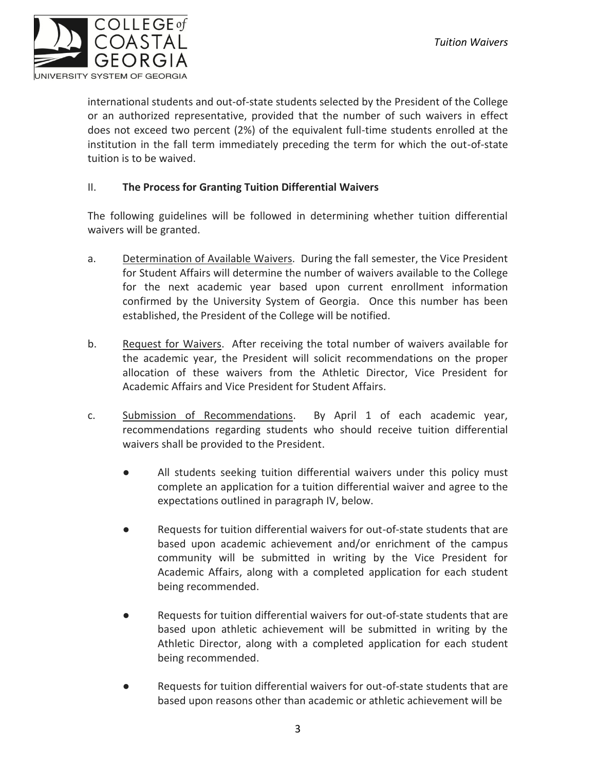

international students and out-of-state students selected by the President of the College or an authorized representative, provided that the number of such waivers in effect does not exceed two percent (2%) of the equivalent full-time students enrolled at the institution in the fall term immediately preceding the term for which the out-of-state tuition is to be waived.

#### II. **The Process for Granting Tuition Differential Waivers**

The following guidelines will be followed in determining whether tuition differential waivers will be granted.

- a. Determination of Available Waivers. During the fall semester, the Vice President for Student Affairs will determine the number of waivers available to the College for the next academic year based upon current enrollment information confirmed by the University System of Georgia. Once this number has been established, the President of the College will be notified.
- b. Request for Waivers. After receiving the total number of waivers available for the academic year, the President will solicit recommendations on the proper allocation of these waivers from the Athletic Director, Vice President for Academic Affairs and Vice President for Student Affairs.
- c. Submission of Recommendations. By April 1 of each academic year, recommendations regarding students who should receive tuition differential waivers shall be provided to the President.
	- All students seeking tuition differential waivers under this policy must complete an application for a tuition differential waiver and agree to the expectations outlined in paragraph IV, below.
	- Requests for tuition differential waivers for out-of-state students that are based upon academic achievement and/or enrichment of the campus community will be submitted in writing by the Vice President for Academic Affairs, along with a completed application for each student being recommended.
	- Requests for tuition differential waivers for out-of-state students that are based upon athletic achievement will be submitted in writing by the Athletic Director, along with a completed application for each student being recommended.
	- Requests for tuition differential waivers for out-of-state students that are based upon reasons other than academic or athletic achievement will be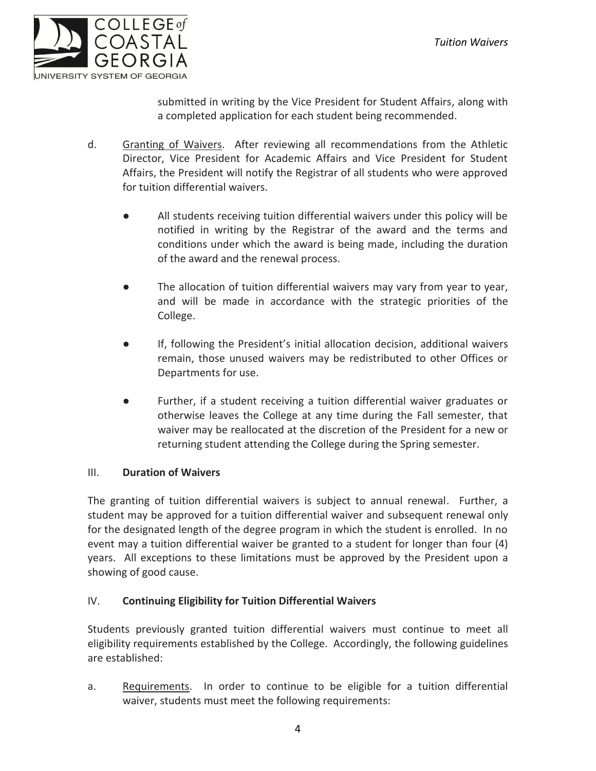

submitted in writing by the Vice President for Student Affairs, along with a completed application for each student being recommended.

- d. Granting of Waivers. After reviewing all recommendations from the Athletic Director, Vice President for Academic Affairs and Vice President for Student Affairs, the President will notify the Registrar of all students who were approved for tuition differential waivers.
	- All students receiving tuition differential waivers under this policy will be notified in writing by the Registrar of the award and the terms and conditions under which the award is being made, including the duration of the award and the renewal process.
	- The allocation of tuition differential waivers may vary from year to year, and will be made in accordance with the strategic priorities of the College.
	- If, following the President's initial allocation decision, additional waivers remain, those unused waivers may be redistributed to other Offices or Departments for use.
	- Further, if a student receiving a tuition differential waiver graduates or otherwise leaves the College at any time during the Fall semester, that waiver may be reallocated at the discretion of the President for a new or returning student attending the College during the Spring semester.

#### III. **Duration of Waivers**

The granting of tuition differential waivers is subject to annual renewal. Further, a student may be approved for a tuition differential waiver and subsequent renewal only for the designated length of the degree program in which the student is enrolled. In no event may a tuition differential waiver be granted to a student for longer than four (4) years. All exceptions to these limitations must be approved by the President upon a showing of good cause.

#### IV. **Continuing Eligibility for Tuition Differential Waivers**

Students previously granted tuition differential waivers must continue to meet all eligibility requirements established by the College. Accordingly, the following guidelines are established:

a. Requirements. In order to continue to be eligible for a tuition differential waiver, students must meet the following requirements: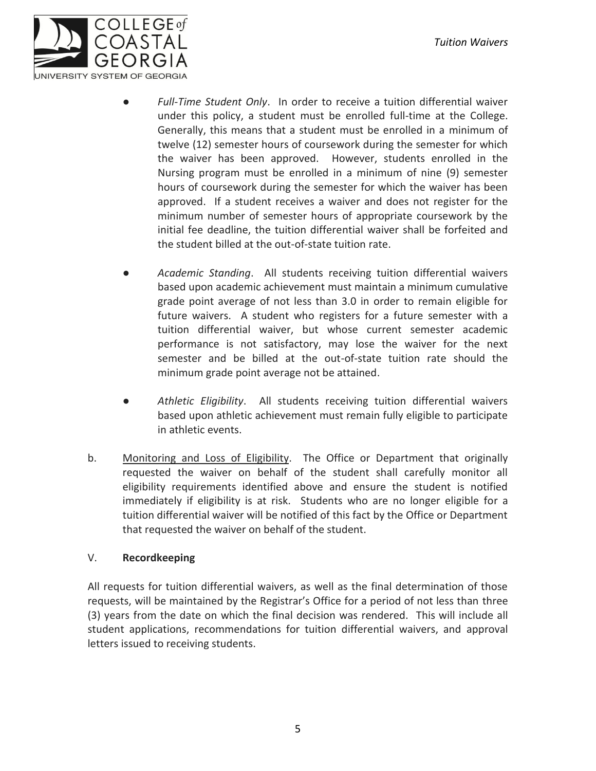

- Full-Time Student Only. In order to receive a tuition differential waiver under this policy, a student must be enrolled full-time at the College. Generally, this means that a student must be enrolled in a minimum of twelve (12) semester hours of coursework during the semester for which the waiver has been approved. However, students enrolled in the Nursing program must be enrolled in a minimum of nine (9) semester hours of coursework during the semester for which the waiver has been approved. If a student receives a waiver and does not register for the minimum number of semester hours of appropriate coursework by the initial fee deadline, the tuition differential waiver shall be forfeited and the student billed at the out-of-state tuition rate.
- Academic Standing. All students receiving tuition differential waivers based upon academic achievement must maintain a minimum cumulative grade point average of not less than 3.0 in order to remain eligible for future waivers. A student who registers for a future semester with a tuition differential waiver, but whose current semester academic performance is not satisfactory, may lose the waiver for the next semester and be billed at the out-of-state tuition rate should the minimum grade point average not be attained.
- Athletic Eligibility. All students receiving tuition differential waivers based upon athletic achievement must remain fully eligible to participate in athletic events.
- b. Monitoring and Loss of Eligibility. The Office or Department that originally requested the waiver on behalf of the student shall carefully monitor all eligibility requirements identified above and ensure the student is notified immediately if eligibility is at risk. Students who are no longer eligible for a tuition differential waiver will be notified of this fact by the Office or Department that requested the waiver on behalf of the student.

#### V. **Recordkeeping**

All requests for tuition differential waivers, as well as the final determination of those requests, will be maintained by the Registrar's Office for a period of not less than three (3) years from the date on which the final decision was rendered. This will include all student applications, recommendations for tuition differential waivers, and approval letters issued to receiving students.